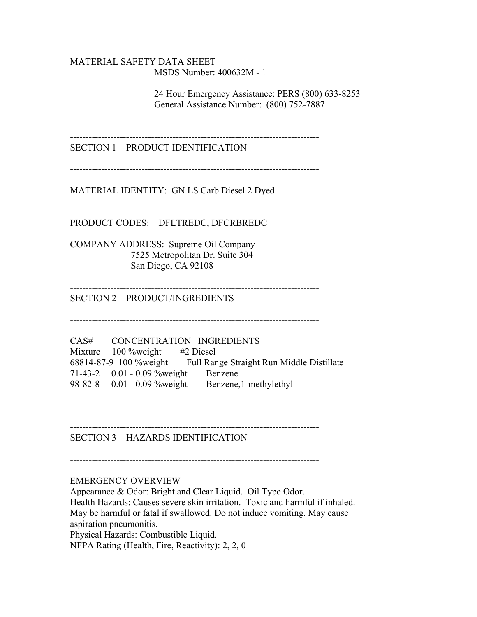### MATERIAL SAFETY DATA SHEET MSDS Number: 400632M - 1

 24 Hour Emergency Assistance: PERS (800) 633-8253 General Assistance Number: (800) 752-7887

--------------------------------------------------------------------------------

SECTION 1 PRODUCT IDENTIFICATION

--------------------------------------------------------------------------------

MATERIAL IDENTITY: GN LS Carb Diesel 2 Dyed

PRODUCT CODES: DFLTREDC, DFCRBREDC

COMPANY ADDRESS: Supreme Oil Company 7525 Metropolitan Dr. Suite 304 San Diego, CA 92108

--------------------------------------------------------------------------------

SECTION 2 PRODUCT/INGREDIENTS

--------------------------------------------------------------------------------

CAS# CONCENTRATION INGREDIENTS Mixture 100 %weight #2 Diesel 68814-87-9 100 %weight Full Range Straight Run Middle Distillate 71-43-2 0.01 - 0.09 %weight Benzene 98-82-8 0.01 - 0.09 %weight Benzene,1-methylethyl-

SECTION 3 HAZARDS IDENTIFICATION

--------------------------------------------------------------------------------

--------------------------------------------------------------------------------

### EMERGENCY OVERVIEW

Appearance & Odor: Bright and Clear Liquid. Oil Type Odor. Health Hazards: Causes severe skin irritation. Toxic and harmful if inhaled. May be harmful or fatal if swallowed. Do not induce vomiting. May cause aspiration pneumonitis. Physical Hazards: Combustible Liquid. NFPA Rating (Health, Fire, Reactivity): 2, 2, 0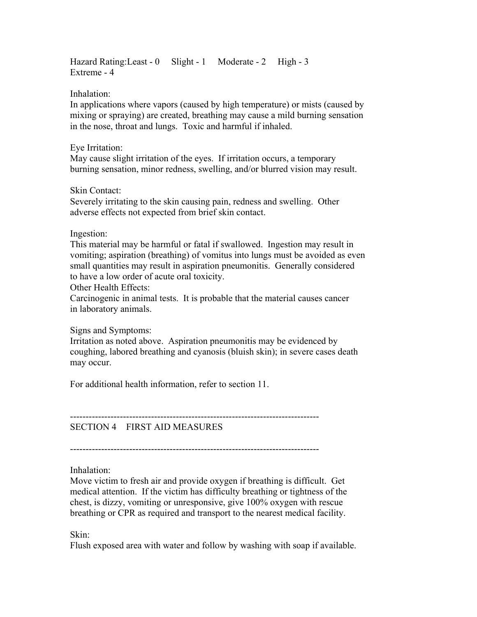Hazard Rating: Least - 0 Slight - 1 Moderate - 2 High - 3 Extreme - 4

Inhalation:

In applications where vapors (caused by high temperature) or mists (caused by mixing or spraying) are created, breathing may cause a mild burning sensation in the nose, throat and lungs. Toxic and harmful if inhaled.

## Eye Irritation:

May cause slight irritation of the eyes. If irritation occurs, a temporary burning sensation, minor redness, swelling, and/or blurred vision may result.

Skin Contact:

Severely irritating to the skin causing pain, redness and swelling. Other adverse effects not expected from brief skin contact.

Ingestion:

This material may be harmful or fatal if swallowed. Ingestion may result in vomiting; aspiration (breathing) of vomitus into lungs must be avoided as even small quantities may result in aspiration pneumonitis. Generally considered to have a low order of acute oral toxicity.

Other Health Effects:

Carcinogenic in animal tests. It is probable that the material causes cancer in laboratory animals.

Signs and Symptoms:

Irritation as noted above. Aspiration pneumonitis may be evidenced by coughing, labored breathing and cyanosis (bluish skin); in severe cases death may occur.

For additional health information, refer to section 11.

-------------------------------------------------------------------------------- SECTION 4 FIRST AID MEASURES

--------------------------------------------------------------------------------

Inhalation:

Move victim to fresh air and provide oxygen if breathing is difficult. Get medical attention. If the victim has difficulty breathing or tightness of the chest, is dizzy, vomiting or unresponsive, give 100% oxygen with rescue breathing or CPR as required and transport to the nearest medical facility.

Skin:

Flush exposed area with water and follow by washing with soap if available.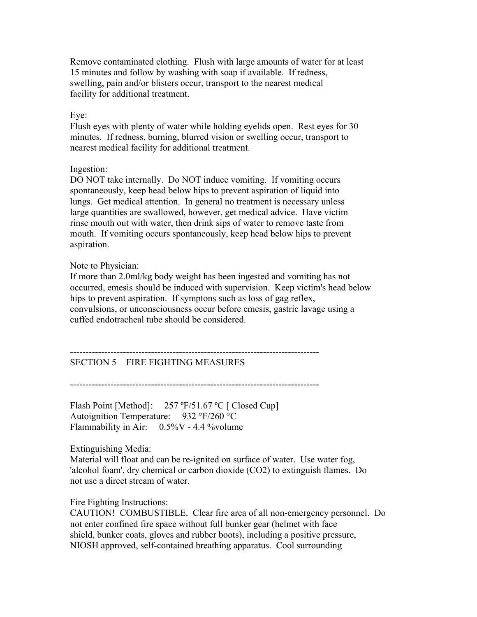Remove contaminated clothing. Flush with large amounts of water for at least 15 minutes and follow by washing with soap if available. If redness, swelling, pain and/or blisters occur, transport to the nearest medical facility for additional treatment.

## Eye:

Flush eyes with plenty of water while holding eyelids open. Rest eyes for 30 minutes. If redness, burning, blurred vision or swelling occur, transport to nearest medical facility for additional treatment.

## Ingestion:

DO NOT take internally. Do NOT induce vomiting. If vomiting occurs spontaneously, keep head below hips to prevent aspiration of liquid into lungs. Get medical attention. In general no treatment is necessary unless large quantities are swallowed, however, get medical advice. Have victim rinse mouth out with water, then drink sips of water to remove taste from mouth. If vomiting occurs spontaneously, keep head below hips to prevent aspiration.

## Note to Physician:

If more than 2.0ml/kg body weight has been ingested and vomiting has not occurred, emesis should be induced with supervision. Keep victim's head below hips to prevent aspiration. If symptons such as loss of gag reflex, convulsions, or unconsciousness occur before emesis, gastric lavage using a cuffed endotracheal tube should be considered.

-------------------------------------------------------------------------------- SECTION 5 FIRE FIGHTING MEASURES

--------------------------------------------------------------------------------

Flash Point [Method]: 257 °F/51.67 °C [ Closed Cup] Autoignition Temperature: 932 °F/260 °C Flammability in Air:  $0.5\%$ V - 4.4 % volume

Extinguishing Media:

Material will float and can be re-ignited on surface of water. Use water fog, 'alcohol foam', dry chemical or carbon dioxide (CO2) to extinguish flames. Do not use a direct stream of water.

Fire Fighting Instructions:

CAUTION! COMBUSTIBLE. Clear fire area of all non-emergency personnel. Do not enter confined fire space without full bunker gear (helmet with face shield, bunker coats, gloves and rubber boots), including a positive pressure, NIOSH approved, self-contained breathing apparatus. Cool surrounding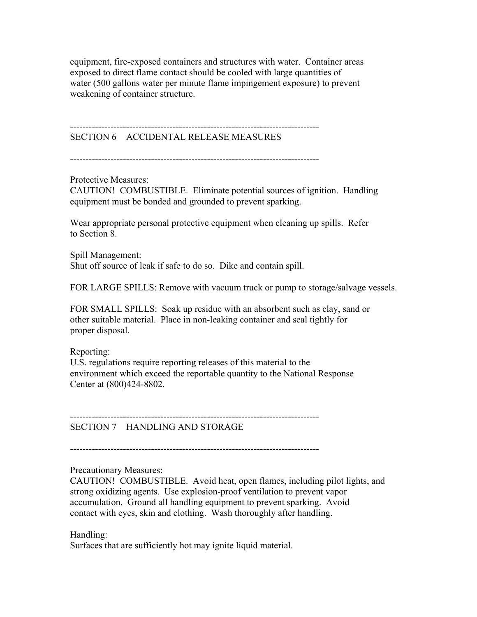equipment, fire-exposed containers and structures with water. Container areas exposed to direct flame contact should be cooled with large quantities of water (500 gallons water per minute flame impingement exposure) to prevent weakening of container structure.

--------------------------------------------------------------------------------

# SECTION 6 ACCIDENTAL RELEASE MEASURES

--------------------------------------------------------------------------------

Protective Measures:

CAUTION! COMBUSTIBLE. Eliminate potential sources of ignition. Handling equipment must be bonded and grounded to prevent sparking.

Wear appropriate personal protective equipment when cleaning up spills. Refer to Section 8.

Spill Management: Shut off source of leak if safe to do so. Dike and contain spill.

FOR LARGE SPILLS: Remove with vacuum truck or pump to storage/salvage vessels.

FOR SMALL SPILLS: Soak up residue with an absorbent such as clay, sand or other suitable material. Place in non-leaking container and seal tightly for proper disposal.

## Reporting:

U.S. regulations require reporting releases of this material to the environment which exceed the reportable quantity to the National Response Center at (800)424-8802.

SECTION 7 HANDLING AND STORAGE

--------------------------------------------------------------------------------

--------------------------------------------------------------------------------

## Precautionary Measures:

CAUTION! COMBUSTIBLE. Avoid heat, open flames, including pilot lights, and strong oxidizing agents. Use explosion-proof ventilation to prevent vapor accumulation. Ground all handling equipment to prevent sparking. Avoid contact with eyes, skin and clothing. Wash thoroughly after handling.

### Handling:

Surfaces that are sufficiently hot may ignite liquid material.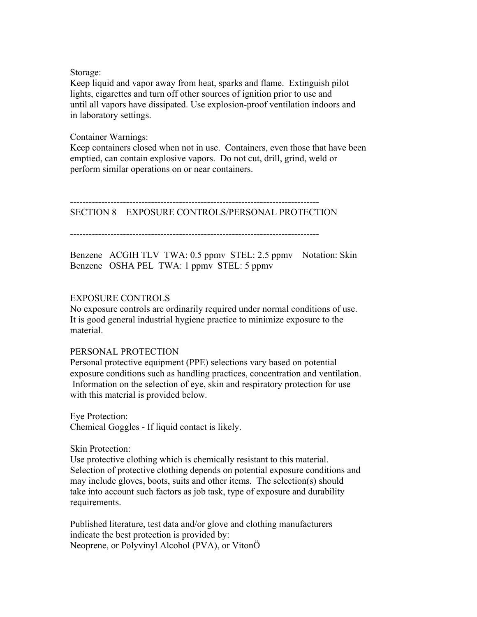### Storage:

Keep liquid and vapor away from heat, sparks and flame. Extinguish pilot lights, cigarettes and turn off other sources of ignition prior to use and until all vapors have dissipated. Use explosion-proof ventilation indoors and in laboratory settings.

### Container Warnings:

Keep containers closed when not in use. Containers, even those that have been emptied, can contain explosive vapors. Do not cut, drill, grind, weld or perform similar operations on or near containers.

--------------------------------------------------------------------------------

## SECTION 8 EXPOSURE CONTROLS/PERSONAL PROTECTION

--------------------------------------------------------------------------------

Benzene ACGIH TLV TWA: 0.5 ppmv STEL: 2.5 ppmv Notation: Skin Benzene OSHA PEL TWA: 1 ppmv STEL: 5 ppmv

## EXPOSURE CONTROLS

No exposure controls are ordinarily required under normal conditions of use. It is good general industrial hygiene practice to minimize exposure to the material.

## PERSONAL PROTECTION

Personal protective equipment (PPE) selections vary based on potential exposure conditions such as handling practices, concentration and ventilation. Information on the selection of eye, skin and respiratory protection for use with this material is provided below.

Eye Protection: Chemical Goggles - If liquid contact is likely.

Skin Protection:

Use protective clothing which is chemically resistant to this material. Selection of protective clothing depends on potential exposure conditions and may include gloves, boots, suits and other items. The selection(s) should take into account such factors as job task, type of exposure and durability requirements.

Published literature, test data and/or glove and clothing manufacturers indicate the best protection is provided by: Neoprene, or Polyvinyl Alcohol (PVA), or VitonÖ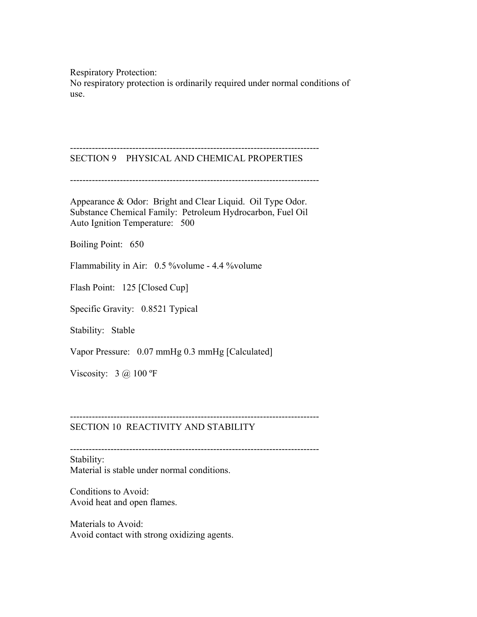Respiratory Protection:

No respiratory protection is ordinarily required under normal conditions of use.

#### -------------------------------------------------------------------------------- SECTION 9 PHYSICAL AND CHEMICAL PROPERTIES

--------------------------------------------------------------------------------

Appearance & Odor: Bright and Clear Liquid. Oil Type Odor. Substance Chemical Family: Petroleum Hydrocarbon, Fuel Oil Auto Ignition Temperature: 500

Boiling Point: 650

Flammability in Air: 0.5 %volume - 4.4 %volume

Flash Point: 125 [Closed Cup]

Specific Gravity: 0.8521 Typical

Stability: Stable

Vapor Pressure: 0.07 mmHg 0.3 mmHg [Calculated]

Viscosity:  $3 \text{ (a)} 100 \text{ °F}$ 

### SECTION 10 REACTIVITY AND STABILITY

--------------------------------------------------------------------------------

--------------------------------------------------------------------------------

Stability: Material is stable under normal conditions.

Conditions to Avoid: Avoid heat and open flames.

Materials to Avoid: Avoid contact with strong oxidizing agents.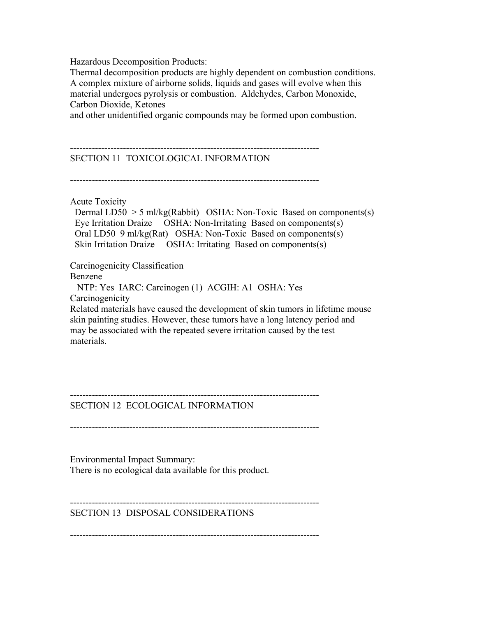Hazardous Decomposition Products:

Thermal decomposition products are highly dependent on combustion conditions. A complex mixture of airborne solids, liquids and gases will evolve when this material undergoes pyrolysis or combustion. Aldehydes, Carbon Monoxide, Carbon Dioxide, Ketones

and other unidentified organic compounds may be formed upon combustion.

-------------------------------------------------------------------------------- SECTION 11 TOXICOLOGICAL INFORMATION

--------------------------------------------------------------------------------

Acute Toxicity

Dermal  $LD50 > 5$  ml/kg(Rabbit) OSHA: Non-Toxic Based on components(s) Eye Irritation Draize OSHA: Non-Irritating Based on components(s) Oral LD50 9 ml/kg(Rat) OSHA: Non-Toxic Based on components(s) Skin Irritation Draize OSHA: Irritating Based on components(s)

Carcinogenicity Classification

Benzene

 NTP: Yes IARC: Carcinogen (1) ACGIH: A1 OSHA: Yes **Carcinogenicity** 

Related materials have caused the development of skin tumors in lifetime mouse skin painting studies. However, these tumors have a long latency period and may be associated with the repeated severe irritation caused by the test materials.

-------------------------------------------------------------------------------- SECTION 12 ECOLOGICAL INFORMATION

--------------------------------------------------------------------------------

Environmental Impact Summary: There is no ecological data available for this product.

-------------------------------------------------------------------------------- SECTION 13 DISPOSAL CONSIDERATIONS

--------------------------------------------------------------------------------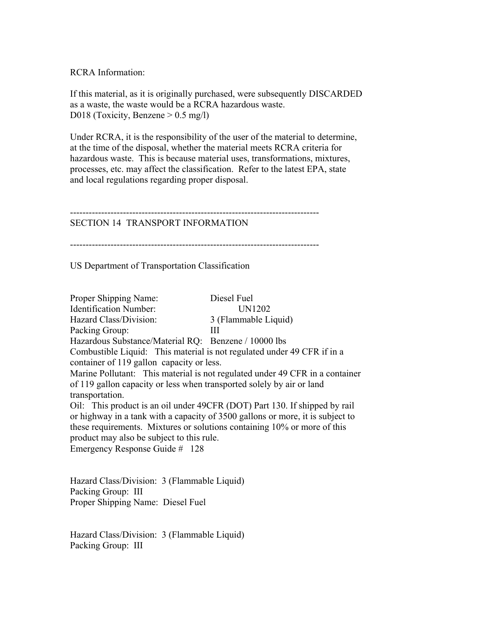RCRA Information:

If this material, as it is originally purchased, were subsequently DISCARDED as a waste, the waste would be a RCRA hazardous waste. D018 (Toxicity, Benzene > 0.5 mg/l)

Under RCRA, it is the responsibility of the user of the material to determine, at the time of the disposal, whether the material meets RCRA criteria for hazardous waste. This is because material uses, transformations, mixtures, processes, etc. may affect the classification. Refer to the latest EPA, state and local regulations regarding proper disposal.

--------------------------------------------------------------------------------

## SECTION 14 TRANSPORT INFORMATION

--------------------------------------------------------------------------------

US Department of Transportation Classification

Proper Shipping Name: Diesel Fuel Identification Number: UN1202 Hazard Class/Division: 3 (Flammable Liquid) Packing Group: III Hazardous Substance/Material RQ: Benzene / 10000 lbs Combustible Liquid: This material is not regulated under 49 CFR if in a container of 119 gallon capacity or less. Marine Pollutant: This material is not regulated under 49 CFR in a container of 119 gallon capacity or less when transported solely by air or land transportation. Oil: This product is an oil under 49CFR (DOT) Part 130. If shipped by rail or highway in a tank with a capacity of 3500 gallons or more, it is subject to these requirements. Mixtures or solutions containing 10% or more of this product may also be subject to this rule. Emergency Response Guide # 128

Hazard Class/Division: 3 (Flammable Liquid) Packing Group: III Proper Shipping Name: Diesel Fuel

Hazard Class/Division: 3 (Flammable Liquid) Packing Group: III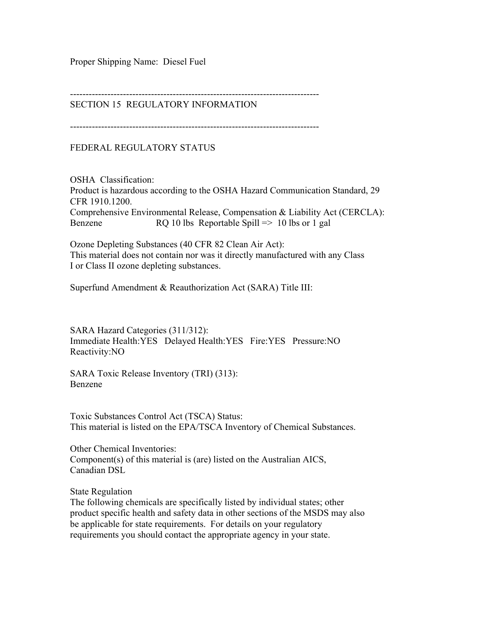Proper Shipping Name: Diesel Fuel

--------------------------------------------------------------------------------

# SECTION 15 REGULATORY INFORMATION

--------------------------------------------------------------------------------

FEDERAL REGULATORY STATUS

OSHA Classification: Product is hazardous according to the OSHA Hazard Communication Standard, 29 CFR 1910.1200. Comprehensive Environmental Release, Compensation & Liability Act (CERCLA): Benzene RQ 10 lbs Reportable Spill => 10 lbs or 1 gal

Ozone Depleting Substances (40 CFR 82 Clean Air Act): This material does not contain nor was it directly manufactured with any Class I or Class II ozone depleting substances.

Superfund Amendment & Reauthorization Act (SARA) Title III:

SARA Hazard Categories (311/312): Immediate Health:YES Delayed Health:YES Fire:YES Pressure:NO Reactivity:NO

SARA Toxic Release Inventory (TRI) (313): Benzene

Toxic Substances Control Act (TSCA) Status: This material is listed on the EPA/TSCA Inventory of Chemical Substances.

Other Chemical Inventories: Component(s) of this material is (are) listed on the Australian AICS, Canadian DSL

State Regulation

The following chemicals are specifically listed by individual states; other product specific health and safety data in other sections of the MSDS may also be applicable for state requirements. For details on your regulatory requirements you should contact the appropriate agency in your state.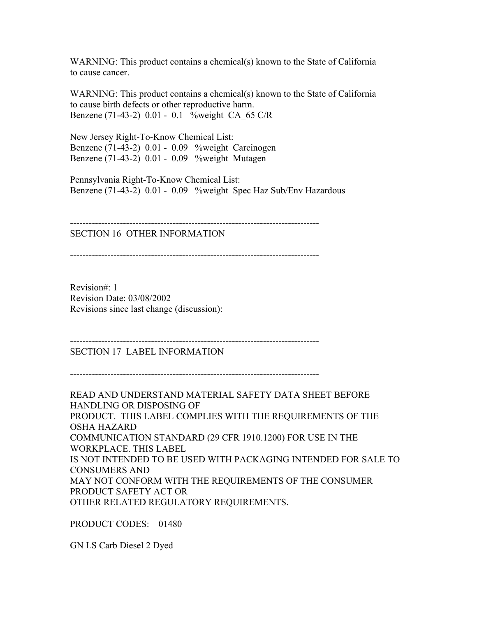WARNING: This product contains a chemical(s) known to the State of California to cause cancer.

WARNING: This product contains a chemical(s) known to the State of California to cause birth defects or other reproductive harm. Benzene (71-43-2) 0.01 - 0.1 %weight CA\_65 C/R

New Jersey Right-To-Know Chemical List: Benzene (71-43-2) 0.01 - 0.09 %weight Carcinogen Benzene (71-43-2) 0.01 - 0.09 %weight Mutagen

Pennsylvania Right-To-Know Chemical List: Benzene (71-43-2) 0.01 - 0.09 %weight Spec Haz Sub/Env Hazardous

--------------------------------------------------------------------------------

SECTION 16 OTHER INFORMATION

--------------------------------------------------------------------------------

Revision#: 1 Revision Date: 03/08/2002 Revisions since last change (discussion):

--------------------------------------------------------------------------------

SECTION 17 LABEL INFORMATION

--------------------------------------------------------------------------------

READ AND UNDERSTAND MATERIAL SAFETY DATA SHEET BEFORE HANDLING OR DISPOSING OF PRODUCT. THIS LABEL COMPLIES WITH THE REQUIREMENTS OF THE OSHA HAZARD COMMUNICATION STANDARD (29 CFR 1910.1200) FOR USE IN THE WORKPLACE. THIS LABEL IS NOT INTENDED TO BE USED WITH PACKAGING INTENDED FOR SALE TO CONSUMERS AND MAY NOT CONFORM WITH THE REQUIREMENTS OF THE CONSUMER PRODUCT SAFETY ACT OR OTHER RELATED REGULATORY REQUIREMENTS.

PRODUCT CODES: 01480

GN LS Carb Diesel 2 Dyed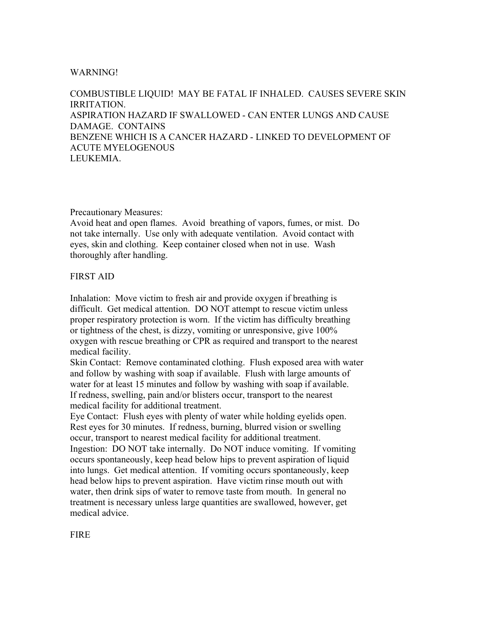### WARNING!

COMBUSTIBLE LIQUID! MAY BE FATAL IF INHALED. CAUSES SEVERE SKIN IRRITATION. ASPIRATION HAZARD IF SWALLOWED - CAN ENTER LUNGS AND CAUSE DAMAGE. CONTAINS BENZENE WHICH IS A CANCER HAZARD - LINKED TO DEVELOPMENT OF ACUTE MYELOGENOUS LEUKEMIA.

### Precautionary Measures:

Avoid heat and open flames. Avoid breathing of vapors, fumes, or mist. Do not take internally. Use only with adequate ventilation. Avoid contact with eyes, skin and clothing. Keep container closed when not in use. Wash thoroughly after handling.

## FIRST AID

Inhalation: Move victim to fresh air and provide oxygen if breathing is difficult. Get medical attention. DO NOT attempt to rescue victim unless proper respiratory protection is worn. If the victim has difficulty breathing or tightness of the chest, is dizzy, vomiting or unresponsive, give 100% oxygen with rescue breathing or CPR as required and transport to the nearest medical facility.

Skin Contact: Remove contaminated clothing. Flush exposed area with water and follow by washing with soap if available. Flush with large amounts of water for at least 15 minutes and follow by washing with soap if available. If redness, swelling, pain and/or blisters occur, transport to the nearest medical facility for additional treatment.

Eye Contact: Flush eyes with plenty of water while holding eyelids open. Rest eyes for 30 minutes. If redness, burning, blurred vision or swelling occur, transport to nearest medical facility for additional treatment. Ingestion: DO NOT take internally. Do NOT induce vomiting. If vomiting occurs spontaneously, keep head below hips to prevent aspiration of liquid into lungs. Get medical attention. If vomiting occurs spontaneously, keep head below hips to prevent aspiration. Have victim rinse mouth out with water, then drink sips of water to remove taste from mouth. In general no treatment is necessary unless large quantities are swallowed, however, get medical advice.

**FIRE**